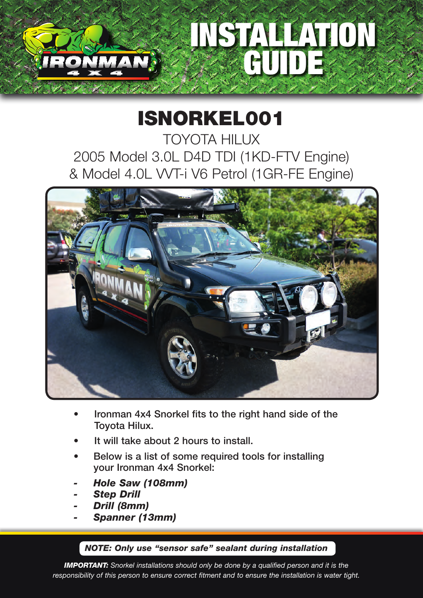# INSTALLATION GUIDE

# ISNORKEL001

TOYOTA HILUX 2005 Model 3.0L D4D TDI (1KD-FTV Engine) & Model 4.0L VVT-i V6 Petrol (1GR-FE Engine)



- Ironman 4x4 Snorkel fits to the right hand side of the Toyota Hilux.
- It will take about 2 hours to install.
- Below is a list of some required tools for installing your Ironman 4x4 Snorkel:
- *- Hole Saw (108mm)*
- *- Step Drill*
- *- Drill (8mm)*
- *- Spanner (13mm)*

#### *NOTE: Only use "sensor safe" sealant during installation*

*IMPORTANT: Snorkel installations should only be done by a qualified person and it is the responsibility of this person to ensure correct fitment and to ensure the installation is water tight.*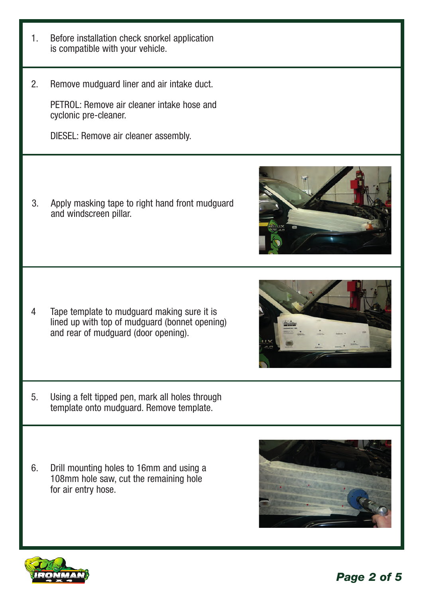

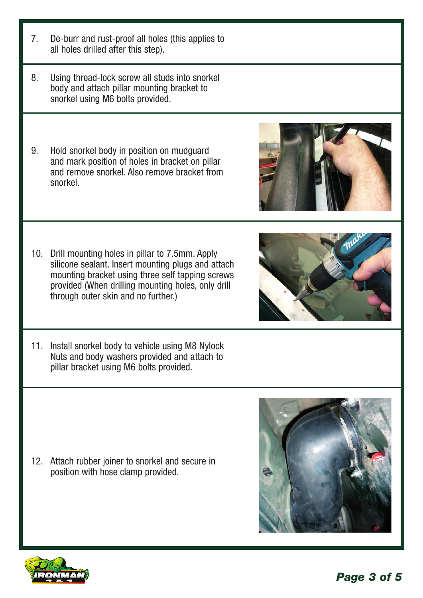*Page 3 of 5*





- 10. Drill mounting holes in pillar to 7.5mm. Apply silicone sealant. Insert mounting plugs and attach mounting bracket using three self tapping screws provided (When drilling mounting holes, only drill through outer skin and no further.)
- 11. Install snorkel body to vehicle using M8 Nylock Nuts and body washers provided and attach to pillar bracket using M6 bolts provided.

12. Attach rubber joiner to snorkel and secure in position with hose clamp provided.

- 7. De-burr and rust-proof all holes (this applies to all holes drilled after this step).
- 8. Using thread-lock screw all studs into snorkel body and attach pillar mounting bracket to snorkel using M6 bolts provided.
- 9. Hold snorkel body in position on mudguard and mark position of holes in bracket on pillar and remove snorkel. Also remove bracket from snorkel.
	-
	-

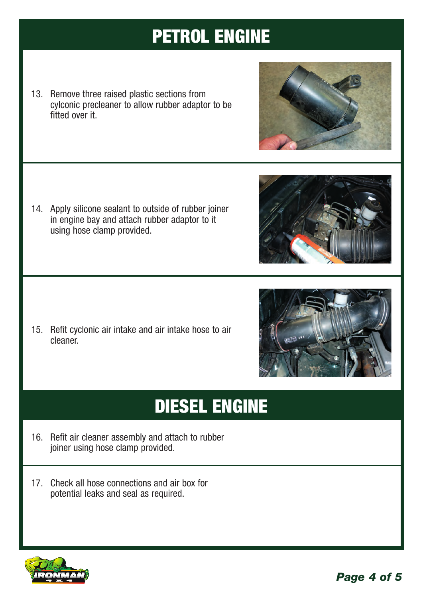## PETROL ENGINE

13. Remove three raised plastic sections from cylconic precleaner to allow rubber adaptor to be fitted over it.

14. Apply silicone sealant to outside of rubber joiner in engine bay and attach rubber adaptor to it using hose clamp provided.

15. Refit cyclonic air intake and air intake hose to air cleaner.

## DIESEL ENGINE

- 16. Refit air cleaner assembly and attach to rubber joiner using hose clamp provided.
- 17. Check all hose connections and air box for potential leaks and seal as required.